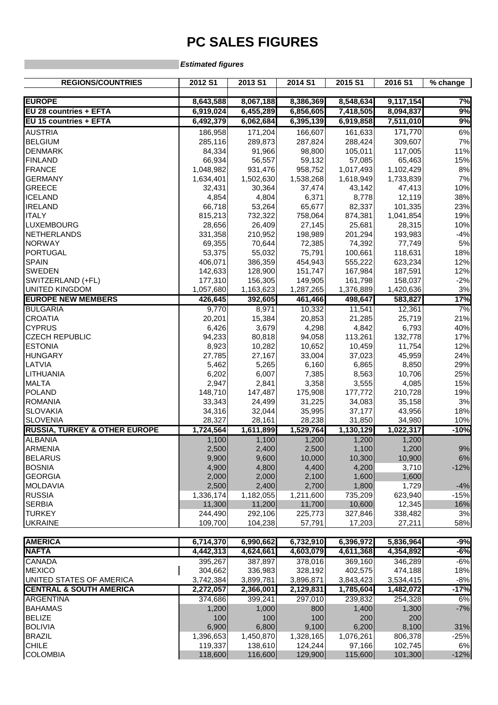## **PC SALES FIGURES**

## **Estimated figures**

| <b>REGIONS/COUNTRIES</b>                                | 2012 S1                | 2013 S1                | 2014 S1                | 2015 S1                | 2016 S1                | % change            |
|---------------------------------------------------------|------------------------|------------------------|------------------------|------------------------|------------------------|---------------------|
|                                                         |                        |                        |                        |                        |                        |                     |
| <b>EUROPE</b>                                           | 8,643,588              | 8,067,188              | 8,386,369              | 8,548,634              | 9,117,154              | 7%                  |
| EU 28 countries + EFTA<br><b>EU 15 countries + EFTA</b> | 6,919,024<br>6,492,379 | 6,455,289<br>6,062,684 | 6,856,605<br>6,395,139 | 7,418,505<br>6,919,858 | 8,094,837<br>7,511,010 | $\frac{9}{6}$<br>9% |
|                                                         |                        |                        |                        |                        |                        |                     |
| <b>AUSTRIA</b><br><b>BELGIUM</b>                        | 186,958                | 171,204                | 166,607                | 161,633                | 171,770                | $6\%$               |
| <b>DENMARK</b>                                          | 285,116<br>84,334      | 289,873<br>91,966      | 287,824<br>98,800      | 288,424<br>105,011     | 309,607<br>117,005     | 7%<br>11%           |
| <b>FINLAND</b>                                          |                        |                        |                        |                        |                        |                     |
| <b>FRANCE</b>                                           | 66,934<br>1,048,982    | 56,557<br>931,476      | 59,132<br>958,752      | 57,085<br>1,017,493    | 65,463<br>1,102,429    | 15%<br>$8%$         |
| <b>GERMANY</b>                                          | 1,634,401              | 1,502,630              | 1,538,268              | 1,618,949              | 1,733,839              | 7%                  |
| <b>GREECE</b>                                           | 32,431                 | 30,364                 | 37,474                 | 43,142                 | 47,413                 | 10%                 |
| <b>ICELAND</b>                                          | 4,854                  | 4,804                  | 6,371                  | 8,778                  | 12,119                 | 38%                 |
| <b>IRELAND</b>                                          | 66,718                 | 53,264                 | 65,677                 | 82,337                 | 101,335                | 23%                 |
| <b>ITALY</b>                                            | 815,213                | 732,322                | 758,064                | 874,381                | 1,041,854              | 19%                 |
| <b>LUXEMBOURG</b>                                       | 28,656                 | 26,409                 | 27,145                 | 25,681                 | 28,315                 | 10%                 |
| NETHERLANDS                                             | 331,358                | 210,952                | 198,989                | 201,294                | 193,983                | $-4%$               |
| <b>NORWAY</b>                                           | 69,355                 | 70,644                 | 72,385                 | 74,392                 | 77,749                 | $5%$                |
| <b>PORTUGAL</b>                                         | 53,375                 | 55,032                 | 75,791                 | 100,661                | 118,631                | 18%                 |
| <b>SPAIN</b>                                            | 406,071                | 386,359                | 454,943                | 555,222                | 623,234                | 12%                 |
| <b>SWEDEN</b>                                           | 142,633                | 128,900                | 151,747                | 167,984                | 187,591                | 12%                 |
| SWITZERLAND (+FL)                                       | 177,310                | 156,305                | 149,905                | 161,798                | 158,037                | $-2%$               |
| <b>UNITED KINGDOM</b>                                   | 1,057,680              | 1,163,623              | 1,287,265              | 1,376,889              | 1,420,636              | 3%                  |
| <b>EUROPE NEW MEMBERS</b>                               | 426,645                | 392,605                | 461,466                | 498,647                | 583,827                | 17%                 |
| <b>BULGARIA</b>                                         | 9,770                  | 8,971                  | 10,332                 | 11,541                 | 12,361                 | 7%                  |
| <b>CROATIA</b>                                          | 20,201                 | 15,384                 | 20,853                 | 21,285                 | 25,719                 | 21%                 |
| <b>CYPRUS</b>                                           | 6,426                  | 3,679                  | 4,298                  | 4,842                  | 6,793                  | 40%                 |
| <b>CZECH REPUBLIC</b>                                   | 94,233                 | 80,818                 | 94,058                 | 113,261                | 132,778                | 17%                 |
| <b>ESTONIA</b>                                          | 8,923                  | 10,282                 | 10,652                 | 10,459                 | 11,754                 | 12%                 |
| <b>HUNGARY</b>                                          | 27,785                 | 27,167                 | 33,004                 | 37,023                 | 45,959                 | 24%                 |
| LATVIA                                                  | 5,462                  | 5,265                  | 6,160                  | 6,865                  | 8,850                  | 29%                 |
| LITHUANIA                                               | 6,202                  | 6,007                  | 7,385                  | 8,563                  | 10,706                 | 25%                 |
| <b>MALTA</b>                                            | 2,947                  | 2,841                  | 3,358                  | 3,555                  | 4,085                  | 15%                 |
| POLAND                                                  | 148,710                | 147,487                | 175,908                | 177,772                | 210,728                | 19%                 |
| <b>ROMANIA</b>                                          | 33,343                 | 24,499                 | 31,225                 | 34,083                 | 35,158                 | $3%$                |
| <b>SLOVAKIA</b>                                         | 34,316                 | 32,044                 | 35,995                 | 37,177                 | 43,956                 | 18%                 |
| <b>SLOVENIA</b>                                         | 28,327                 | 28,161                 | 28,238                 | 31,850                 | 34,980                 | 10%                 |
| <b>RUSSIA, TURKEY &amp; OTHER EUROPE</b>                | 1,724,564              | 1,611,899              | 1,529,764              | 1,130,129              | 1,022,317              | $-10%$              |
| <b>ALBANIA</b>                                          | 1,100                  | 1,100                  | 1,200                  | 1,200                  | 1,200                  |                     |
| <b>ARMENIA</b>                                          | 2,500                  | 2,400                  | 2,500                  | 1,100                  | 1,200                  | 9%                  |
| <b>BELARUS</b>                                          | 9,900                  | 9,600                  | 10,000                 | 10,300                 | 10,900                 | 6%                  |
| <b>BOSNIA</b>                                           | 4,900                  | 4,800                  | 4,400                  | 4,200                  | 3,710                  | $-12%$              |
| <b>GEORGIA</b>                                          | 2,000                  | 2,000                  | 2,100                  | 1,600                  | 1,600                  |                     |
| <b>MOLDAVIA</b>                                         | 2,500                  | 2,400                  | 2,700                  | 1,800                  | 1,729                  | $-4%$               |
| <b>RUSSIA</b>                                           | 1,336,174              | 1,182,055              | 1,211,600              | 735,209                | 623,940                | $-15%$              |
| <b>SERBIA</b>                                           | 11,300                 | 11,200                 | 11,700                 | 10,600                 | 12,345                 | 16%                 |
| <b>TURKEY</b>                                           | 244,490                | 292,106                | 225,773                | 327,846                | 338,482                | 3%                  |
| <b>UKRAINE</b>                                          | 109,700                | 104,238                | 57,791                 | 17,203                 | 27,211                 | 58%                 |
| <b>AMERICA</b>                                          | 6,714,370              | 6,990,662              | 6,732,910              | 6,396,972              | 5,836,964              | $-9%$               |
| <b>NAFTA</b>                                            | 4,442,313              | 4,624,661              | 4,603,079              | 4,611,368              | 4,354,892              | $-6%$               |
| <b>CANADA</b>                                           | 395,267                | 387,897                | 378,016                | 369,160                | 346,289                | $-6%$               |
| <b>MEXICO</b>                                           | 304,662                | 336,983                | 328,192                | 402,575                | 474,188                | 18%                 |
| UNITED STATES OF AMERICA                                | 3,742,384              | 3,899,781              | 3,896,871              | 3,843,423              | 3,534,415              | $-8%$               |
| <b>CENTRAL &amp; SOUTH AMERICA</b>                      | 2,272,057              | 2,366,001              | 2,129,831              | 1,785,604              | 1,482,072              | $-17%$              |
| <b>ARGENTINA</b>                                        | 374,686                | 399,241                | 297,010                | 239,832                | 254,328                | 6%                  |
| <b>BAHAMAS</b>                                          | 1,200                  | 1,000                  | 800                    | 1,400                  | 1,300                  | $-7%$               |
| <b>BELIZE</b>                                           | 100                    | 100                    | 100                    | 200                    | 200                    |                     |
| <b>BOLIVIA</b>                                          | 6,900                  | 6,800                  | 9,100                  | 6,200                  | 8,100                  | 31%                 |
| <b>BRAZIL</b>                                           | 1,396,653              | 1,450,870              | 1,328,165              | 1,076,261              | 806,378                | $-25%$              |
| <b>CHILE</b>                                            | 119,337                | 138,610                | 124,244                | 97,166                 | 102,745                | 6%                  |
| <b>COLOMBIA</b>                                         | 118,600                | 116,600                | 129,900                | 115,600                | 101,300                | $-12%$              |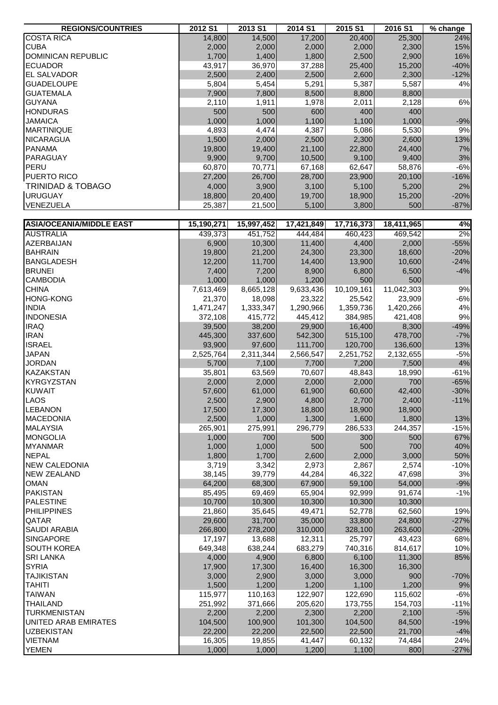| <b>REGIONS/COUNTRIES</b>        | 2012 S1    | 2013 S1    | 2014 S1    | 2015 S1    | 2016 S1    | % change |
|---------------------------------|------------|------------|------------|------------|------------|----------|
| <b>COSTA RICA</b>               | 14,800     | 14,500     | 17,200     | 20,400     | 25,300     | 24%      |
| <b>CUBA</b>                     | 2,000      | 2,000      | 2,000      | 2,000      | 2,300      | 15%      |
| DOMINICAN REPUBLIC              | 1,700      | 1,400      | 1,800      | 2,500      | 2,900      | 16%      |
| <b>ECUADOR</b>                  | 43,917     | 36,970     | 37,288     | 25,400     | 15,200     | $-40%$   |
| <b>EL SALVADOR</b>              | 2,500      | 2,400      | 2,500      | 2,600      | 2,300      | $-12%$   |
| <b>GUADELOUPE</b>               | 5,804      | 5,454      | 5,291      | 5,387      | 5,587      | 4%       |
| <b>GUATEMALA</b>                | 7,900      | 7,800      | 8,500      | 8,800      | 8,800      |          |
| <b>GUYANA</b>                   | 2,110      | 1,911      | 1,978      | 2,011      | 2,128      | 6%       |
| <b>HONDURAS</b>                 | 500        | 500        | 600        | 400        | 400        |          |
| <b>JAMAICA</b>                  | 1,000      | 1,000      | 1,100      | 1,100      | 1,000      | $-9%$    |
| <b>MARTINIQUE</b>               | 4,893      | 4,474      | 4,387      | 5,086      | 5,530      | 9%       |
| <b>NICARAGUA</b>                | 1,500      | 2,000      | 2,500      | 2,300      | 2,600      | 13%      |
| <b>PANAMA</b>                   | 19,800     | 19,400     | 21,100     | 22,800     | 24,400     | 7%       |
| PARAGUAY                        | 9,900      | 9,700      | 10,500     | 9,100      | 9,400      | 3%       |
| PERU                            | 60,870     | 70,771     | 67,168     | 62,647     | 58,876     | $-6%$    |
| PUERTO RICO                     | 27,200     | 26,700     | 28,700     | 23,900     | 20,100     | $-16%$   |
| <b>TRINIDAD &amp; TOBAGO</b>    | 4,000      | 3,900      | 3,100      | 5,100      | 5,200      | 2%       |
| <b>URUGUAY</b>                  | 18,800     | 20,400     | 19,700     | 18,900     | 15,200     | $-20%$   |
| VENEZUELA                       | 25,387     | 21,500     | 5,100      | 3,800      | 500        | $-87%$   |
|                                 |            |            |            |            |            |          |
| <b>ASIA/OCEANIA/MIDDLE EAST</b> | 15,190,271 | 15,997,452 | 17,421,849 | 17,716,373 | 18,411,965 | 4%       |
| <b>AUSTRALIA</b>                | 439,373    | 451,752    | 444,484    | 460,423    | 469,542    | 2%       |
| AZERBAIJAN                      | 6,900      | 10,300     | 11,400     | 4,400      | 2,000      | $-55%$   |
| <b>BAHRAIN</b>                  | 19,800     | 21,200     | 24,300     | 23,300     | 18,600     | $-20%$   |
| <b>BANGLADESH</b>               | 12,200     | 11,700     | 14,400     | 13,900     | 10,600     | $-24%$   |
| <b>BRUNEI</b>                   | 7,400      | 7,200      | 8,900      | 6,800      | 6,500      | $-4%$    |
| <b>CAMBODIA</b>                 | 1,000      | 1,000      | 1,200      | 500        | 500        |          |
| <b>CHINA</b>                    | 7,613,469  | 8,665,128  | 9,633,436  | 10,109,161 | 11,042,303 | 9%       |
| <b>HONG-KONG</b>                | 21,370     | 18,098     | 23,322     | 25,542     | 23,909     | $-6%$    |
| <b>INDIA</b>                    | 1,471,247  | 1,333,347  | 1,290,966  | 1,359,736  | 1,420,266  | 4%       |
| <b>INDONESIA</b>                | 372,108    | 415,772    | 445,412    | 384,985    | 421,408    | $9\%$    |
| <b>IRAQ</b>                     | 39,500     | 38,200     | 29,900     | 16,400     | 8,300      | $-49%$   |
| <b>IRAN</b>                     | 445,300    | 337,600    | 542,300    | 515,100    | 478,700    | $-7%$    |
| <b>ISRAEL</b>                   | 93,900     | 97,600     | 111,700    | 120,700    | 136,600    | 13%      |
| <b>JAPAN</b>                    | 2,525,764  | 2,311,344  | 2,566,547  | 2,251,752  | 2,132,655  | $-5%$    |
| <b>JORDAN</b>                   | 5,700      | 7,100      | 7,700      | 7,200      | 7,500      | $4%$     |
| <b>KAZAKSTAN</b>                | 35,801     | 63,569     | 70,607     | 48,843     | 18,990     | $-61%$   |
| <b>KYRGYZSTAN</b>               | 2,000      | 2,000      | 2,000      | 2,000      | 700        | $-65%$   |
| <b>KUWAIT</b>                   | 57,600     | 61,000     | 61,900     | 60,600     | 42,400     | $-30%$   |
| <b>LAOS</b>                     | 2,500      | 2,900      | 4,800      | 2,700      | 2,400      | $-11%$   |
| <b>LEBANON</b>                  | 17,500     | 17,300     | 18,800     | 18,900     | 18,900     |          |
| <b>MACEDONIA</b>                | 2,500      | 1,000      | 1,300      | 1,600      | 1,800      | 13%      |
| <b>MALAYSIA</b>                 | 265,901    | 275,991    | 296,779    | 286,533    | 244,357    | $-15%$   |
| <b>MONGOLIA</b>                 | 1,000      | 700        | 500        | 300        | 500        | 67%      |
| <b>MYANMAR</b>                  | 1,000      | 1,000      | 500        | 500        | 700        | 40%      |
| <b>NEPAL</b>                    | 1,800      | 1,700      | 2,600      | 2,000      | 3,000      | 50%      |
| <b>NEW CALEDONIA</b>            | 3,719      | 3,342      | 2,973      | 2,867      | 2,574      | $-10%$   |
| <b>NEW ZEALAND</b>              | 38,145     | 39,779     | 44,284     | 46,322     | 47,698     | 3%       |
| <b>OMAN</b>                     | 64,200     | 68,300     | 67,900     | 59,100     | 54,000     | $-9%$    |
| <b>PAKISTAN</b>                 | 85,495     | 69,469     | 65,904     | 92,999     | 91,674     | $-1%$    |
| PALESTINE                       | 10,700     | 10,300     | 10,300     | 10,300     | 10,300     |          |
| <b>PHILIPPINES</b>              | 21,860     | 35,645     | 49,471     | 52,778     | 62,560     | 19%      |
| <b>QATAR</b>                    | 29,600     | 31,700     | 35,000     | 33,800     | 24,800     | $-27%$   |
| <b>SAUDI ARABIA</b>             | 266,800    | 278,200    | 310,000    | 328,100    | 263,600    | $-20%$   |
| <b>SINGAPORE</b>                | 17,197     | 13,688     | 12,311     | 25,797     | 43,423     | 68%      |
| <b>SOUTH KOREA</b>              | 649,348    | 638,244    | 683,279    | 740,316    | 814,617    | 10%      |
| <b>SRI LANKA</b>                | 4,000      | 4,900      | 6,800      | 6,100      | 11,300     | 85%      |
| <b>SYRIA</b>                    | 17,900     | 17,300     | 16,400     | 16,300     | 16,300     |          |
| <b>TAJIKISTAN</b>               | 3,000      | 2,900      | 3,000      | 3,000      | 900        | $-70%$   |
| <b>TAHITI</b>                   | 1,500      | 1,200      | 1,200      | 1,100      | 1,200      | 9%       |
| <b>TAIWAN</b>                   | 115,977    | 110,163    | 122,907    | 122,690    | 115,602    | $-6%$    |
| <b>THAILAND</b>                 | 251,992    | 371,666    | 205,620    | 173,755    | 154,703    | $-11%$   |
| <b>TURKMENISTAN</b>             | 2,200      | 2,200      | 2,300      | 2,200      | 2,100      | $-5%$    |
| UNITED ARAB EMIRATES            | 104,500    | 100,900    | 101,300    | 104,500    | 84,500     | $-19%$   |
| <b>UZBEKISTAN</b>               | 22,200     | 22,200     | 22,500     | 22,500     | 21,700     | $-4%$    |
| <b>VIETNAM</b>                  | 16,305     | 19,855     | 41,447     | 60,132     | 74,484     | 24%      |
| <b>YEMEN</b>                    | 1,000      | 1,000      | 1,200      | 1,100      | 800        | $-27%$   |
|                                 |            |            |            |            |            |          |